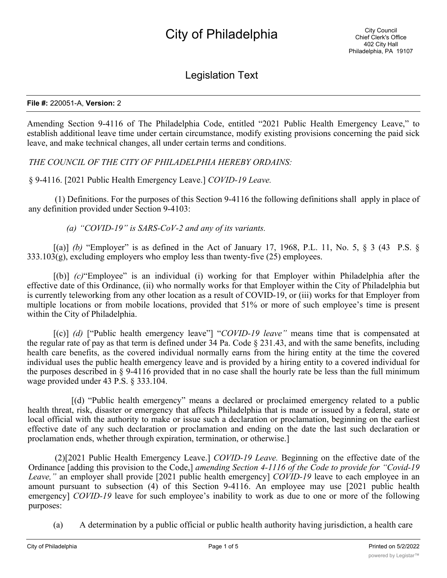## Legislation Text

## **File #:** 220051-A, **Version:** 2

Amending Section 9-4116 of The Philadelphia Code, entitled "2021 Public Health Emergency Leave," to establish additional leave time under certain circumstance, modify existing provisions concerning the paid sick leave, and make technical changes, all under certain terms and conditions.

*THE COUNCIL OF THE CITY OF PHILADELPHIA HEREBY ORDAINS:*

§ 9-4116. [2021 Public Health Emergency Leave.] *COVID-19 Leave.*

(1) Definitions. For the purposes of this Section 9-4116 the following definitions shall apply in place of any definition provided under Section 9-4103:

*(a) "COVID-19" is SARS-CoV-2 and any of its variants.*

 $[(a)]$  *(b)* "Employer" is as defined in the Act of January 17, 1968, P.L. 11, No. 5, § 3 (43 P.S. §  $333.103(g)$ , excluding employers who employ less than twenty-five (25) employees.

[(b)] *(c)*"Employee" is an individual (i) working for that Employer within Philadelphia after the effective date of this Ordinance, (ii) who normally works for that Employer within the City of Philadelphia but is currently teleworking from any other location as a result of COVID-19, or (iii) works for that Employer from multiple locations or from mobile locations, provided that 51% or more of such employee's time is present within the City of Philadelphia.

[(c)] *(d)* ["Public health emergency leave"] "*COVID-19 leave"* means time that is compensated at the regular rate of pay as that term is defined under 34 Pa. Code § 231.43, and with the same benefits, including health care benefits, as the covered individual normally earns from the hiring entity at the time the covered individual uses the public health emergency leave and is provided by a hiring entity to a covered individual for the purposes described in § 9-4116 provided that in no case shall the hourly rate be less than the full minimum wage provided under 43 P.S. § 333.104.

[(d) "Public health emergency" means a declared or proclaimed emergency related to a public health threat, risk, disaster or emergency that affects Philadelphia that is made or issued by a federal, state or local official with the authority to make or issue such a declaration or proclamation, beginning on the earliest effective date of any such declaration or proclamation and ending on the date the last such declaration or proclamation ends, whether through expiration, termination, or otherwise.]

(2)[2021 Public Health Emergency Leave.] *COVID-19 Leave.* Beginning on the effective date of the Ordinance [adding this provision to the Code,] *amending Section 4-1116 of the Code to provide for "Covid-19 Leave,"* an employer shall provide [2021 public health emergency] *COVID-19* leave to each employee in an amount pursuant to subsection (4) of this Section 9-4116. An employee may use [2021 public health emergency] *COVID-19* leave for such employee's inability to work as due to one or more of the following purposes:

(a) A determination by a public official or public health authority having jurisdiction, a health care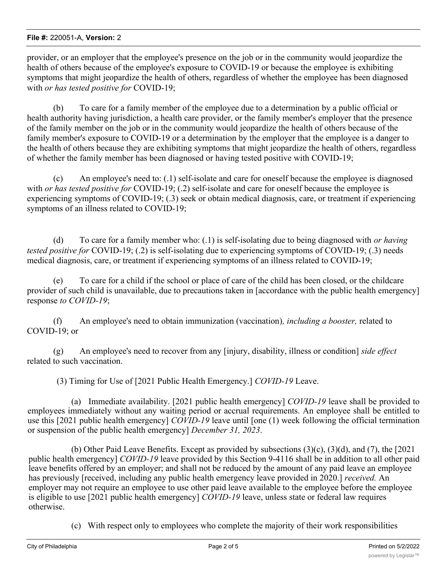provider, or an employer that the employee's presence on the job or in the community would jeopardize the health of others because of the employee's exposure to COVID-19 or because the employee is exhibiting symptoms that might jeopardize the health of others, regardless of whether the employee has been diagnosed with *or has tested positive for* COVID-19;

(b) To care for a family member of the employee due to a determination by a public official or health authority having jurisdiction, a health care provider, or the family member's employer that the presence of the family member on the job or in the community would jeopardize the health of others because of the family member's exposure to COVID-19 or a determination by the employer that the employee is a danger to the health of others because they are exhibiting symptoms that might jeopardize the health of others, regardless of whether the family member has been diagnosed or having tested positive with COVID-19;

(c) An employee's need to: (.1) self-isolate and care for oneself because the employee is diagnosed with *or has tested positive for* COVID-19; (.2) self-isolate and care for oneself because the employee is experiencing symptoms of COVID-19; (.3) seek or obtain medical diagnosis, care, or treatment if experiencing symptoms of an illness related to COVID-19;

(d) To care for a family member who: (.1) is self-isolating due to being diagnosed with *or having tested positive for* COVID-19; (.2) is self-isolating due to experiencing symptoms of COVID-19; (.3) needs medical diagnosis, care, or treatment if experiencing symptoms of an illness related to COVID-19;

(e) To care for a child if the school or place of care of the child has been closed, or the childcare provider of such child is unavailable, due to precautions taken in [accordance with the public health emergency] response *to COVID-19*;

(f) An employee's need to obtain immunization (vaccination)*, including a booster,* related to COVID-19; or

(g) An employee's need to recover from any [injury, disability, illness or condition] *side effect* related to such vaccination.

(3) Timing for Use of [2021 Public Health Emergency.] *COVID-19* Leave.

(a) Immediate availability. [2021 public health emergency] *COVID-19* leave shall be provided to employees immediately without any waiting period or accrual requirements. An employee shall be entitled to use this [2021 public health emergency] *COVID-19* leave until [one (1) week following the official termination or suspension of the public health emergency] *December 31, 2023*.

(b) Other Paid Leave Benefits. Except as provided by subsections (3)(c), (3)(d), and (7), the [2021 public health emergency] *COVID-19* leave provided by this Section 9-4116 shall be in addition to all other paid leave benefits offered by an employer; and shall not be reduced by the amount of any paid leave an employee has previously [received, including any public health emergency leave provided in 2020.] *received.* An employer may not require an employee to use other paid leave available to the employee before the employee is eligible to use [2021 public health emergency] *COVID-19* leave, unless state or federal law requires otherwise.

(c) With respect only to employees who complete the majority of their work responsibilities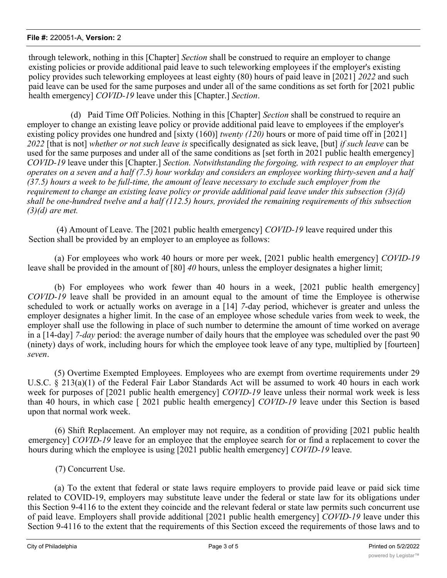## **File #:** 220051-A, **Version:** 2

through telework, nothing in this [Chapter] *Section* shall be construed to require an employer to change existing policies or provide additional paid leave to such teleworking employees if the employer's existing policy provides such teleworking employees at least eighty (80) hours of paid leave in [2021] *2022* and such paid leave can be used for the same purposes and under all of the same conditions as set forth for [2021 public health emergency] *COVID-19* leave under this [Chapter.] *Section*.

 (d) Paid Time Off Policies. Nothing in this [Chapter] *Section* shall be construed to require an employer to change an existing leave policy or provide additional paid leave to employees if the employer's existing policy provides one hundred and [sixty (160)] *twenty (120)* hours or more of paid time off in [2021] *2022* [that is not] *whether or not such leave is* specifically designated as sick leave, [but] *if such leave* can be used for the same purposes and under all of the same conditions as [set forth in 2021 public health emergency] *COVID-19* leave under this [Chapter.] *Section. Notwithstanding the forgoing, with respect to an employer that operates on a seven and a half (7.5) hour workday and considers an employee working thirty-seven and a half (37.5) hours a week to be full-time, the amount of leave necessary to exclude such employer from the requirement to change an existing leave policy or provide additional paid leave under this subsection (3)(d) shall be one-hundred twelve and a half (112.5) hours, provided the remaining requirements of this subsection (3)(d) are met.*

 (4) Amount of Leave. The [2021 public health emergency] *COVID-19* leave required under this Section shall be provided by an employer to an employee as follows:

(a) For employees who work 40 hours or more per week, [2021 public health emergency] *COVID-19* leave shall be provided in the amount of [80] *40* hours, unless the employer designates a higher limit;

(b) For employees who work fewer than 40 hours in a week, [2021 public health emergency] *COVID-19* leave shall be provided in an amount equal to the amount of time the Employee is otherwise scheduled to work or actually works on average in a [14] *7*-day period, whichever is greater and unless the employer designates a higher limit. In the case of an employee whose schedule varies from week to week, the employer shall use the following in place of such number to determine the amount of time worked on average in a [14-day] *7-day* period: the average number of daily hours that the employee was scheduled over the past 90 (ninety) days of work, including hours for which the employee took leave of any type, multiplied by [fourteen] *seven*.

(5) Overtime Exempted Employees. Employees who are exempt from overtime requirements under 29 U.S.C. § 213(a)(1) of the Federal Fair Labor Standards Act will be assumed to work 40 hours in each work week for purposes of [2021 public health emergency] *COVID-19* leave unless their normal work week is less than 40 hours, in which case [ 2021 public health emergency] *COVID-19* leave under this Section is based upon that normal work week.

(6) Shift Replacement. An employer may not require, as a condition of providing [2021 public health emergency] *COVID-19* leave for an employee that the employee search for or find a replacement to cover the hours during which the employee is using [2021 public health emergency] *COVID-19* leave.

(7) Concurrent Use.

(a) To the extent that federal or state laws require employers to provide paid leave or paid sick time related to COVID-19, employers may substitute leave under the federal or state law for its obligations under this Section 9-4116 to the extent they coincide and the relevant federal or state law permits such concurrent use of paid leave. Employers shall provide additional [2021 public health emergency] *COVID-19* leave under this Section 9-4116 to the extent that the requirements of this Section exceed the requirements of those laws and to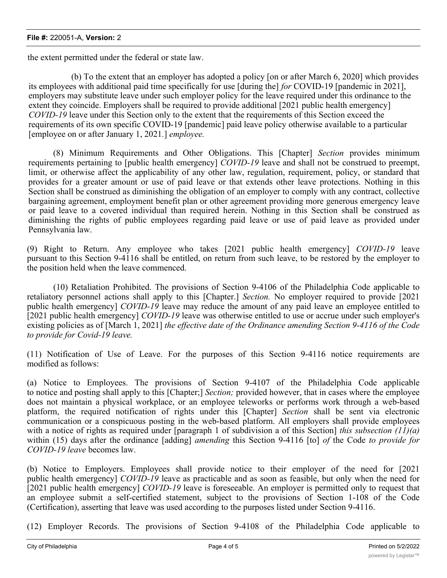the extent permitted under the federal or state law.

(b) To the extent that an employer has adopted a policy [on or after March 6, 2020] which provides its employees with additional paid time specifically for use [during the] *for* COVID-19 [pandemic in 2021], employers may substitute leave under such employer policy for the leave required under this ordinance to the extent they coincide. Employers shall be required to provide additional [2021 public health emergency] *COVID-19* leave under this Section only to the extent that the requirements of this Section exceed the requirements of its own specific COVID-19 [pandemic] paid leave policy otherwise available to a particular [employee on or after January 1, 2021*.*] *employee.*

(8) Minimum Requirements and Other Obligations. This [Chapter] *Section* provides minimum requirements pertaining to [public health emergency] *COVID-19* leave and shall not be construed to preempt, limit, or otherwise affect the applicability of any other law, regulation, requirement, policy, or standard that provides for a greater amount or use of paid leave or that extends other leave protections. Nothing in this Section shall be construed as diminishing the obligation of an employer to comply with any contract, collective bargaining agreement, employment benefit plan or other agreement providing more generous emergency leave or paid leave to a covered individual than required herein. Nothing in this Section shall be construed as diminishing the rights of public employees regarding paid leave or use of paid leave as provided under Pennsylvania law.

(9) Right to Return. Any employee who takes [2021 public health emergency] *COVID-19* leave pursuant to this Section 9-4116 shall be entitled, on return from such leave, to be restored by the employer to the position held when the leave commenced.

(10) Retaliation Prohibited. The provisions of Section 9-4106 of the Philadelphia Code applicable to retaliatory personnel actions shall apply to this [Chapter.] *Section.* No employer required to provide [2021 public health emergency] *COVID-19* leave may reduce the amount of any paid leave an employee entitled to [2021 public health emergency] *COVID-19* leave was otherwise entitled to use or accrue under such employer's existing policies as of [March 1, 2021] *the effective date of the Ordinance amending Section 9-4116 of the Code to provide for Covid-19 leave.*

(11) Notification of Use of Leave. For the purposes of this Section 9-4116 notice requirements are modified as follows:

(a) Notice to Employees. The provisions of Section 9-4107 of the Philadelphia Code applicable to notice and posting shall apply to this [Chapter;] *Section;* provided however, that in cases where the employee does not maintain a physical workplace, or an employee teleworks or performs work through a web-based platform, the required notification of rights under this [Chapter] *Section* shall be sent via electronic communication or a conspicuous posting in the web-based platform. All employers shall provide employees with a notice of rights as required under [paragraph 1 of subdivision a of this Section] *this subsection (11)(a)* within (15) days after the ordinance [adding] *amending* this Section 9-4116 [to] *of* the Code *to provide for COVID-19 leave* becomes law.

(b) Notice to Employers. Employees shall provide notice to their employer of the need for [2021 public health emergency] *COVID-19* leave as practicable and as soon as feasible, but only when the need for [2021 public health emergency] *COVID-19* leave is foreseeable. An employer is permitted only to request that an employee submit a self-certified statement, subject to the provisions of Section 1-108 of the Code (Certification), asserting that leave was used according to the purposes listed under Section 9-4116.

(12) Employer Records. The provisions of Section 9-4108 of the Philadelphia Code applicable to